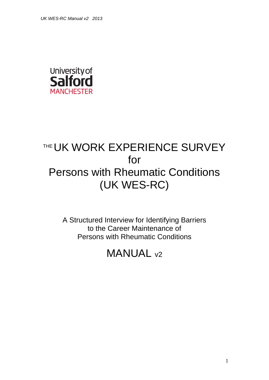

# THE UK WORK EXPERIENCE SURVEY for Persons with Rheumatic Conditions (UK WES-RC)

A Structured Interview for Identifying Barriers to the Career Maintenance of Persons with Rheumatic Conditions

# MANUAL<sub>v2</sub>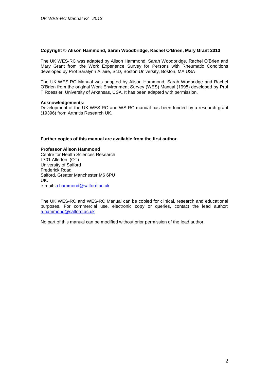#### **Copyright © Alison Hammond, Sarah Woodbridge, Rachel O'Brien, Mary Grant 2013**

The UK WES-RC was adapted by Alison Hammond, Sarah Woodbridge, Rachel O'Brien and Mary Grant from the Work Experience Survey for Persons with Rheumatic Conditions developed by Prof Saralynn Allaire, ScD, Boston University, Boston, MA USA

The UK-WES-RC Manual was adapted by Alison Hammond, Sarah Wodbridge and Rachel O'Brien from the original Work Environment Survey (WES) Manual (1995) developed by Prof T Roessler, University of Arkansas, USA. It has been adapted with permission.

#### **Acknowledgements:**

Development of the UK WES-RC and WS-RC manual has been funded by a research grant (19396) from Arthritis Research UK.

#### **Further copies of this manual are available from the first author.**

#### **Professor Alison Hammond**

Centre for Health Sciences Research L701 Allerton (OT) University of Salford Frederick Road Salford, Greater Manchester M6 6PU UK. e-mail: [a.hammond@salford.ac.uk](mailto:a.hammond@salford.ac.uk)

The UK WES-RC and WES-RC Manual can be copied for clinical, research and educational purposes. For commercial use, electronic copy or queries, contact the lead author: [a.hammond@salford.ac.uk](mailto:a.hammond@salford.ac.uk)

No part of this manual can be modified without prior permission of the lead author.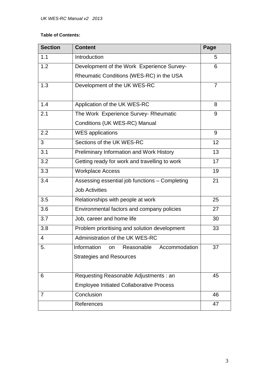#### **Table of Contents:**

| <b>Section</b> | <b>Content</b>                                   | Page           |
|----------------|--------------------------------------------------|----------------|
| 1.1            | Introduction                                     | 5              |
| 1.2            | Development of the Work Experience Survey-       | 6              |
|                | Rheumatic Conditions (WES-RC) in the USA         |                |
| 1.3            | Development of the UK WES-RC                     | $\overline{7}$ |
| 1.4            |                                                  | 8              |
|                | Application of the UK WES-RC                     |                |
| 2.1            | The Work Experience Survey- Rheumatic            | 9              |
|                | Conditions (UK WES-RC) Manual                    |                |
| 2.2            | <b>WES</b> applications                          | 9              |
| 3              | Sections of the UK WES-RC                        | 12             |
| 3.1            | Preliminary Information and Work History         | 13             |
| 3.2            | Getting ready for work and travelling to work    | 17             |
| 3.3            | <b>Workplace Access</b>                          | 19             |
| 3.4            | Assessing essential job functions - Completing   | 21             |
|                | <b>Job Activities</b>                            |                |
| 3.5            | Relationships with people at work                | 25             |
| 3.6            | Environmental factors and company policies       | 27             |
| 3.7            | Job, career and home life                        | 30             |
| 3.8            | Problem prioritising and solution development    | 33             |
| 4              | Administration of the UK WES-RC                  |                |
| 5.             | Information<br>on<br>Reasonable<br>Accommodation | 37             |
|                | <b>Strategies and Resources</b>                  |                |
|                |                                                  |                |
| 6              | Requesting Reasonable Adjustments : an           | 45             |
|                | <b>Employee Initiated Collaborative Process</b>  |                |
| $\overline{7}$ | Conclusion                                       | 46             |
|                | References                                       | 47             |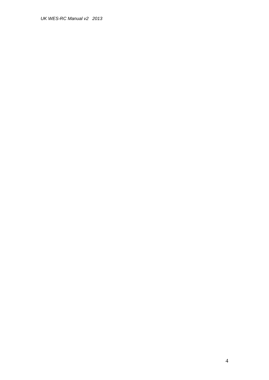*UK WES-RC Manual v2 2013*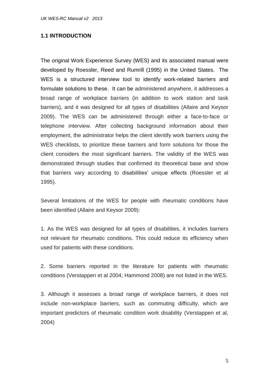# **1.1 INTRODUCTION**

The original Work Experience Survey (WES) and its associated manual were developed by Roessler, Reed and Rumrill (1995) in the United States. The WES is a structured interview tool to identify work-related barriers and formulate solutions to these. It can be administered anywhere, it addresses a broad range of workplace barriers (in addition to work station and task barriers), and it was designed for all types of disabilities (Allaire and Keysor 2009). The WES can be administered through either a face-to-face or telephone interview. After collecting background information about their employment, the administrator helps the client identify work barriers using the WES checklists, to prioritize these barriers and form solutions for those the client considers the most significant barriers. The validity of the WES was demonstrated through studies that confirmed its theoretical base and show that barriers vary according to disabilities' unique effects (Roessler et al 1995).

Several limitations of the WES for people with rheumatic conditions have been identified (Allaire and Keysor 2009):

1. As the WES was designed for all types of disabilities, it includes barriers not relevant for rheumatic conditions. This could reduce its efficiency when used for patients with these conditions.

2. Some barriers reported in the literature for patients with rheumatic conditions (Verstappen et al 2004; Hammond 2008) are not listed in the WES.

3. Although it assesses a broad range of workplace barriers, it does not include non-workplace barriers, such as commuting difficulty, which are important predictors of rheumatic condition work disability (Verstappen et al, 2004)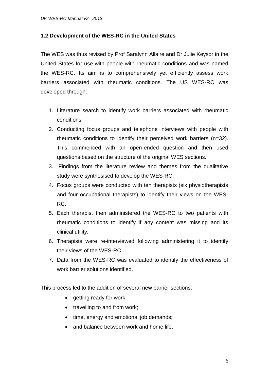# **1.2 Development of the WES-RC in the United States**

The WES was thus revised by Prof Saralynn Allaire and Dr Julie Keysor in the United States for use with people with rheumatic conditions and was named the WES-RC. Its aim is to comprehensively yet efficiently assess work barriers associated with rheumatic conditions. The US WES-RC was developed through:

- 1. Literature search to identify work barriers associated with rheumatic conditions
- 2. Conducting focus groups and telephone interviews with people with rheumatic conditions to identify their perceived work barriers (n=32). This commenced with an open-ended question and then used questions based on the structure of the original WES sections.
- 3. Findings from the literature review and themes from the qualitative study were synthesised to develop the WES-RC.
- 4. Focus groups were conducted with ten therapists (six physiotherapists and four occupational therapists) to identify their views on the WES-RC.
- 5. Each therapist then administered the WES-RC to two patients with rheumatic conditions to identify if any content was missing and its clinical utility.
- 6. Therapists were re-interviewed following administering it to identify their views of the WES-RC.
- 7. Data from the WES-RC was evaluated to identify the effectiveness of work barrier solutions identified.

This process led to the addition of several new barrier sections:

- $\bullet$  getting ready for work;
- travelling to and from work;
- time, energy and emotional job demands;
- and balance between work and home life.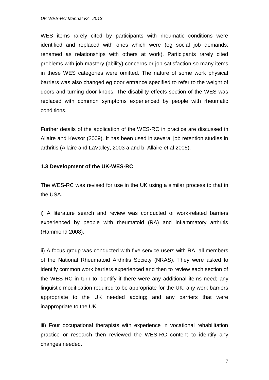*UK WES-RC Manual v2 2013*

WES items rarely cited by participants with rheumatic conditions were identified and replaced with ones which were (eg social job demands: renamed as relationships with others at work). Participants rarely cited problems with job mastery (ability) concerns or job satisfaction so many items in these WES categories were omitted. The nature of some work physical barriers was also changed eg door entrance specified to refer to the weight of doors and turning door knobs. The disability effects section of the WES was replaced with common symptoms experienced by people with rheumatic conditions.

Further details of the application of the WES-RC in practice are discussed in Allaire and Keysor (2009). It has been used in several job retention studies in arthritis (Allaire and LaValley, 2003 a and b; Allaire et al 2005).

#### **1.3 Development of the UK-WES-RC**

The WES-RC was revised for use in the UK using a similar process to that in the USA.

i) A literature search and review was conducted of work-related barriers experienced by people with rheumatoid (RA) and inflammatory arthritis (Hammond 2008).

ii) A focus group was conducted with five service users with RA, all members of the National Rheumatoid Arthritis Society (NRAS). They were asked to identify common work barriers experienced and then to review each section of the WES-RC in turn to identify if there were any additional items need; any linguistic modification required to be appropriate for the UK; any work barriers appropriate to the UK needed adding; and any barriers that were inappropriate to the UK.

iii) Four occupational therapists with experience in vocational rehabilitation practice or research then reviewed the WES-RC content to identify any changes needed.

7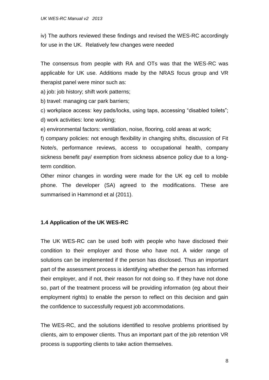iv) The authors reviewed these findings and revised the WES-RC accordingly for use in the UK. Relatively few changes were needed

The consensus from people with RA and OTs was that the WES-RC was applicable for UK use. Additions made by the NRAS focus group and VR therapist panel were minor such as:

a) job: job history; shift work patterns;

b) travel: managing car park barriers;

c) workplace access: key pads/locks, using taps, accessing "disabled toilets";

d) work activities: lone working;

e) environmental factors: ventilation, noise, flooring, cold areas at work;

f) company policies: not enough flexibility in changing shifts, discussion of Fit Note/s, performance reviews, access to occupational health, company sickness benefit pay/ exemption from sickness absence policy due to a longterm condition.

Other minor changes in wording were made for the UK eg cell to mobile phone. The developer (SA) agreed to the modifications. These are summarised in Hammond et al (2011).

# **1.4 Application of the UK WES-RC**

The UK WES-RC can be used both with people who have disclosed their condition to their employer and those who have not. A wider range of solutions can be implemented if the person has disclosed. Thus an important part of the assessment process is identifying whether the person has informed their employer, and if not, their reason for not doing so. If they have not done so, part of the treatment process will be providing information (eg about their employment rights) to enable the person to reflect on this decision and gain the confidence to successfully request job accommodations.

The WES-RC, and the solutions identified to resolve problems prioritised by clients, aim to empower clients. Thus an important part of the job retention VR process is supporting clients to take action themselves.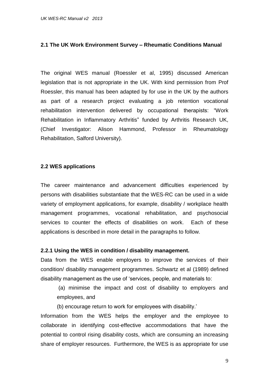# **2.1 The UK Work Environment Survey – Rheumatic Conditions Manual**

The original WES manual (Roessler et al, 1995) discussed American legislation that is not appropriate in the UK. With kind permission from Prof Roessler, this manual has been adapted by for use in the UK by the authors as part of a research project evaluating a job retention vocational rehabilitation intervention delivered by occupational therapists: "Work Rehabilitation in Inflammatory Arthritis" funded by Arthritis Research UK, (Chief Investigator: Alison Hammond, Professor in Rheumatology Rehabilitation, Salford University).

### **2.2 WES applications**

The career maintenance and advancement difficulties experienced by persons with disabilities substantiate that the WES-RC can be used in a wide variety of employment applications, for example, disability / workplace health management programmes, vocational rehabilitation, and psychosocial services to counter the effects of disabilities on work. Each of these applications is described in more detail in the paragraphs to follow.

#### **2.2.1 Using the WES in condition / disability management.**

Data from the WES enable employers to improve the services of their condition/ disability management programmes. Schwartz et al (1989) defined disability management as the use of 'services, people, and materials to:

(a) minimise the impact and cost of disability to employers and employees, and

(b) encourage return to work for employees with disability.'

Information from the WES helps the employer and the employee to collaborate in identifying cost-effective accommodations that have the potential to control rising disability costs, which are consuming an increasing share of employer resources. Furthermore, the WES is as appropriate for use

9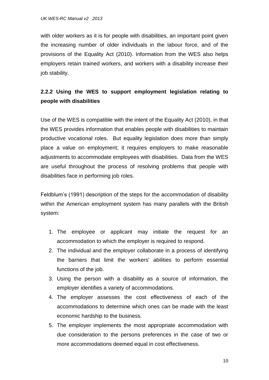with older workers as it is for people with disabilities, an important point given the increasing number of older individuals in the labour force, and of the provisions of the Equality Act (2010). Information from the WES also helps employers retain trained workers, and workers with a disability increase their job stability.

# **2.2.2 Using the WES to support employment legislation relating to people with disabilities**

Use of the WES is compatible with the intent of the Equality Act (2010), in that the WES provides information that enables people with disabilities to maintain productive vocational roles. But equality legislation does more than simply place a value on employment; it requires employers to make reasonable adjustments to accommodate employees with disabilities. Data from the WES are useful throughout the process of resolving problems that people with disabilities face in performing job roles.

Feldblum's (1991) description of the steps for the accommodation of disability within the American employment system has many parallels with the British system:

- 1. The employee or applicant may initiate the request for an accommodation to which the employer is required to respond.
- 2. The individual and the employer collaborate in a process of identifying the barriers that limit the workers' abilities to perform essential functions of the job.
- 3. Using the person with a disability as a source of information, the employer identifies a variety of accommodations.
- 4. The employer assesses the cost effectiveness of each of the accommodations to determine which ones can be made with the least economic hardship to the business.
- 5. The employer implements the most appropriate accommodation with due consideration to the persons preferences in the case of two or more accommodations deemed equal in cost effectiveness.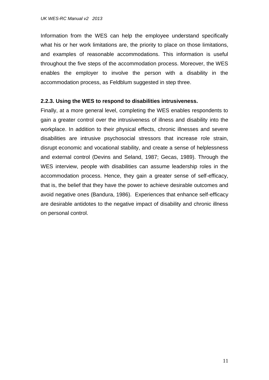Information from the WES can help the employee understand specifically what his or her work limitations are, the priority to place on those limitations, and examples of reasonable accommodations. This information is useful throughout the five steps of the accommodation process. Moreover, the WES enables the employer to involve the person with a disability in the accommodation process, as Feldblum suggested in step three.

# **2.2.3. Using the WES to respond to disabilities intrusiveness.**

Finally, at a more general level, completing the WES enables respondents to gain a greater control over the intrusiveness of illness and disability into the workplace. In addition to their physical effects, chronic illnesses and severe disabilities are intrusive psychosocial stressors that increase role strain, disrupt economic and vocational stability, and create a sense of helplessness and external control (Devins and Seland, 1987; Gecas, 1989). Through the WES interview, people with disabilities can assume leadership roles in the accommodation process. Hence, they gain a greater sense of self-efficacy, that is, the belief that they have the power to achieve desirable outcomes and avoid negative ones (Bandura, 1986). Experiences that enhance self-efficacy are desirable antidotes to the negative impact of disability and chronic illness on personal control.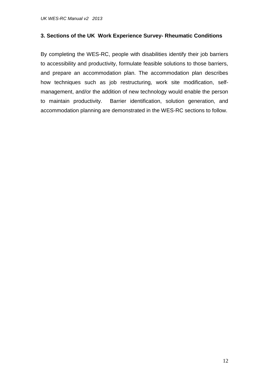# **3. Sections of the UK Work Experience Survey- Rheumatic Conditions**

By completing the WES-RC, people with disabilities identify their job barriers to accessibility and productivity, formulate feasible solutions to those barriers, and prepare an accommodation plan. The accommodation plan describes how techniques such as job restructuring, work site modification, selfmanagement, and/or the addition of new technology would enable the person to maintain productivity. Barrier identification, solution generation, and accommodation planning are demonstrated in the WES-RC sections to follow.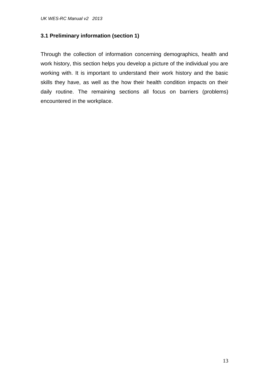# **3.1 Preliminary information (section 1)**

Through the collection of information concerning demographics, health and work history, this section helps you develop a picture of the individual you are working with. It is important to understand their work history and the basic skills they have, as well as the how their health condition impacts on their daily routine. The remaining sections all focus on barriers (problems) encountered in the workplace.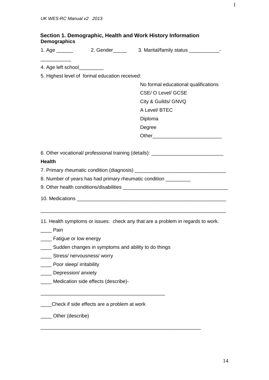# **Section 1. Demographic, Health and Work History Information Demographics**

1. Age \_\_\_\_\_\_ 2. Gender\_\_\_\_\_ 3. Marital/family status \_\_\_\_\_\_\_\_\_\_\_\_-

4. Age left school\_\_\_\_\_\_\_\_\_

\_\_\_\_\_\_\_\_\_\_\_

5. Highest level of formal education received:

 No formal educational qualifications CSE/ O Level/ GCSE City & Guilds/ GNVQ A Level/ BTEC Diploma Degree

Other<sub>is</sub> and the contract of the contract of the contract of the contract of the contract of the contract of the contract of the contract of the contract of the contract of the contract of the contract of the contract of

6. Other vocational/ professional training (details):

#### **Health**

7. Primary rheumatic condition (diagnosis) \_\_\_\_\_\_\_\_\_\_\_\_\_\_\_\_\_\_\_\_\_\_\_\_\_\_\_\_\_\_\_\_\_

8. Number of years has had primary rheumatic condition \_\_\_\_\_\_\_\_

- 9. Other health conditions/disabilities
- 10. Medications **we use that the set of the set of the set of the set of the set of the set of the set of the set of the set of the set of the set of the set of the set of the set of the set of the set of the set of the se**

11. Health symptoms or issues: check any that are a problem in regards to work.

\_\_\_\_\_\_\_\_\_\_\_\_\_\_\_\_\_\_\_\_\_\_\_\_\_\_\_\_\_\_\_\_\_\_\_\_\_\_\_\_\_\_\_\_\_\_\_\_\_\_\_\_\_\_\_\_\_\_\_\_\_\_\_\_\_\_\_

\_\_\_\_ Pain

- Fatigue or low energy
- **\_\_\_\_** Sudden changes in symptoms and ability to do things
- \_\_\_\_\_ Stress/ nervousness/ worry
- Poor sleep/ irritability
- \_\_\_\_ Depression/ anxiety
- \_\_\_\_ Medication side effects (describe)-

\_\_\_\_Check if side effects are a problem at work

\_\_\_\_\_\_\_\_\_\_\_\_\_\_\_\_\_\_\_\_\_\_\_\_\_\_\_\_\_\_\_\_\_\_\_\_\_\_\_\_\_\_\_\_\_

\_\_\_\_\_\_\_\_\_\_\_\_\_\_\_\_\_\_\_\_\_\_\_\_\_\_\_\_\_\_\_\_\_\_\_\_\_\_\_\_\_\_\_\_\_\_\_\_\_\_\_\_\_\_\_\_\_\_

\_\_\_\_ Other (describe)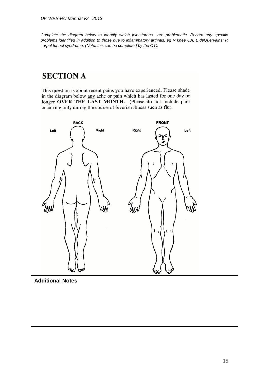*Complete the diagram below to identify which joints/areas are problematic. Record any specific problems identified in addition to those due to inflammatory arthritis, eg R knee OA; L deQuervains; R carpal tunnel syndrome. (Note: this can be completed by the OT).*

# **SECTION A**

This question is about recent pains you have experienced. Please shade in the diagram below any ache or pain which has lasted for one day or longer OVER THE LAST MONTH. (Please do not include pain occurring only during the course of feverish illness such as flu).

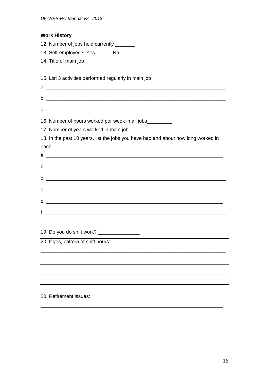UK WES-RC Manual v2 2013

|  | Work History |
|--|--------------|
|--|--------------|

| 12. Number of jobs held currently _______                                         |
|-----------------------------------------------------------------------------------|
| 13. Self-employed? Yes______ No______                                             |
| 14. Title of main job                                                             |
|                                                                                   |
| 15. List 3 activities performed regularly in main job                             |
|                                                                                   |
| b.                                                                                |
|                                                                                   |
|                                                                                   |
| 16. Number of hours worked per week in all jobs_________                          |
| 17. Number of years worked in main job _________                                  |
| 18. In the past 10 years, list the jobs you have had and about how long worked in |
| each:                                                                             |
|                                                                                   |
|                                                                                   |
| C.                                                                                |
|                                                                                   |
|                                                                                   |
| e.                                                                                |
|                                                                                   |
|                                                                                   |
|                                                                                   |
| 20, If yes, pattern of shift hours:                                               |
|                                                                                   |
|                                                                                   |
|                                                                                   |
|                                                                                   |
|                                                                                   |
|                                                                                   |

20. Retirement issues: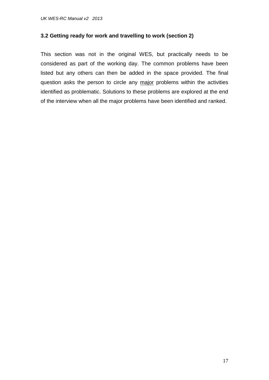# **3.2 Getting ready for work and travelling to work (section 2)**

This section was not in the original WES, but practically needs to be considered as part of the working day. The common problems have been listed but any others can then be added in the space provided. The final question asks the person to circle any major problems within the activities identified as problematic. Solutions to these problems are explored at the end of the interview when all the major problems have been identified and ranked.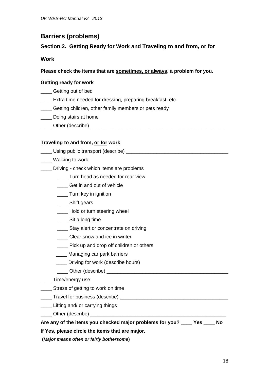# **Barriers (problems)**

# **Section 2. Getting Ready for Work and Traveling to and from, or for**

### **Work**

# **Please check the items that are sometimes, or always, a problem for you.**

### **Getting ready for work**

\_\_\_\_ Getting out of bed

- Extra time needed for dressing, preparing breakfast, etc.
- **\_\_\_\_\_** Getting children, other family members or pets ready
- \_\_\_\_ Doing stairs at home
- \_\_\_\_ Other (describe) \_\_\_\_\_\_\_\_\_\_\_\_\_\_\_\_\_\_\_\_\_\_\_\_\_\_\_\_\_\_\_\_\_\_\_\_\_\_\_\_\_\_\_\_\_\_\_\_

### **Traveling to and from, or for work**

- Using public transport (describe)
- \_\_\_\_ Walking to work
- Driving check which items are problems
	- \_\_\_\_ Turn head as needed for rear view
	- \_\_\_\_ Get in and out of vehicle
	- **\_\_\_\_\_** Turn key in ignition
	- \_\_\_\_ Shift gears
	- Hold or turn steering wheel
	- \_\_\_\_ Sit a long time
	- Stay alert or concentrate on driving
	- **\_\_\_\_\_ Clear snow and ice in winter**
	- \_\_\_\_ Pick up and drop off children or others
	- Managing car park barriers
	- **LETT** Driving for work (describe hours)
	- \_\_\_\_ Other (describe) \_\_\_\_\_\_\_\_\_\_\_\_\_\_\_\_\_\_\_\_\_\_\_\_\_\_\_\_\_\_\_\_\_\_\_\_\_\_\_\_\_\_\_\_
- \_\_\_\_ Time/energy use
- \_\_\_\_ Stress of getting to work on time
- \_\_\_\_ Travel for business (describe) \_\_\_\_\_\_\_\_\_\_\_\_\_\_\_\_\_\_\_\_\_\_\_\_\_\_\_\_\_\_\_\_\_\_\_\_\_\_\_
- **\_\_\_\_** Lifting and/ or carrying things
- Other (describe)

**Are any of the items you checked major problems for you? \_\_\_\_ Yes \_\_\_\_ No**

**If Yes, please circle the items that are major.** 

**(***Major means often or fairly bothersome***)**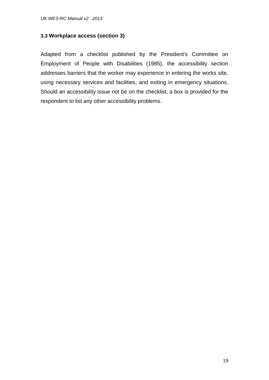# **3.3 Workplace access (section 3)**

Adapted from a checklist published by the President's Committee on Employment of People with Disabilities (1985), the accessibility section addresses barriers that the worker may experience in entering the works site, using necessary services and facilities, and exiting in emergency situations. Should an accessibility issue not be on the checklist, a box is provided for the respondent to list any other accessibility problems.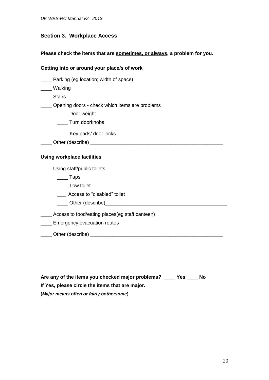*UK WES-RC Manual v2 2013*

## **Section 3. Workplace Access**

#### **Please check the items that are sometimes, or always, a problem for you.**

#### **Getting into or around your place/s of work**

- **EXECUTE:** Parking (eg location; width of space)
- \_\_\_\_ Walking
- \_\_\_\_ Stairs
- **CODEN CODEN DETER CODEN IN STARK CONTER** OPENING OPENING A CODEN IS OPENING.
	- \_\_\_\_\_ Door weight
	- \_\_\_\_ Turn doorknobs
	- **\_\_\_\_ Key pads/ door locks**
- \_\_\_\_ Other (describe) \_\_\_\_\_\_\_\_\_\_\_\_\_\_\_\_\_\_\_\_\_\_\_\_\_\_\_\_\_\_\_\_\_\_\_\_\_\_\_\_\_\_\_\_\_\_\_\_

#### **Using workplace facilities**

- \_\_\_\_ Using staff/public toilets
	- \_\_\_\_ Taps
	- \_\_\_\_ Low toilet
	- \_\_\_ Access to "disabled" toilet
	- \_\_\_\_ Other (describe)\_\_\_\_\_\_\_\_\_\_\_\_\_\_\_\_\_\_\_\_\_\_\_\_\_\_\_\_\_\_\_\_\_\_\_\_\_\_\_\_\_\_\_\_
- \_\_\_\_ Access to food/eating places(eg staff canteen)
- Emergency evacuation routes
- \_\_\_\_ Other (describe) \_\_\_\_\_\_\_\_\_\_\_\_\_\_\_\_\_\_\_\_\_\_\_\_\_\_\_\_\_\_\_\_\_\_\_\_\_\_\_\_\_\_\_\_\_\_\_\_

**Are any of the items you checked major problems? \_\_\_\_ Yes \_\_\_\_ No If Yes, please circle the items that are major. (***Major means often or fairly bothersome***)**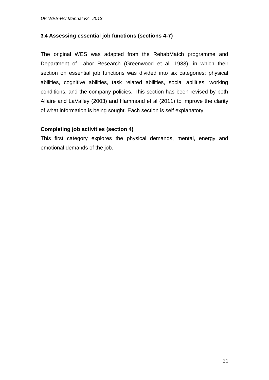# **3.4 Assessing essential job functions (sections 4-7)**

The original WES was adapted from the RehabMatch programme and Department of Labor Research (Greenwood et al, 1988), in which their section on essential job functions was divided into six categories: physical abilities, cognitive abilities, task related abilities, social abilities, working conditions, and the company policies. This section has been revised by both Allaire and LaValley (2003) and Hammond et al (2011) to improve the clarity of what information is being sought. Each section is self explanatory.

# **Completing job activities (section 4)**

This first category explores the physical demands, mental, energy and emotional demands of the job.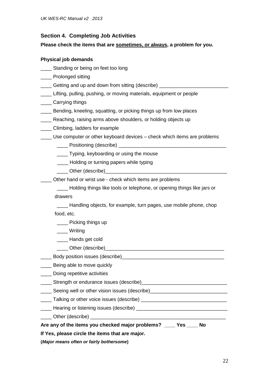# **Section 4. Completing Job Activities**

**Please check the items that are sometimes, or always, a problem for you.**

### **Physical job demands**

- Standing or being on feet too long
- Prolonged sitting
- Getting and up and down from sitting (describe)
- \_\_\_\_ Lifting, pulling, pushing, or moving materials, equipment or people
- \_\_\_\_ Carrying things
- \_\_\_\_ Bending, kneeling, squatting, or picking things up from low places
- \_\_\_\_ Reaching, raising arms above shoulders, or holding objects up
- \_\_\_\_ Climbing, ladders for example
- \_\_\_\_ Use computer or other keyboard devices check which items are problems
	- \_\_\_\_\_\_ Positioning (describe)
	- **Typing, keyboarding or using the mouse**
	- **\_\_\_\_\_** Holding or turning papers while typing
	- Other (describe)

Other hand or wrist use - check which items are problems

\_\_\_\_ Holding things like tools or telephone, or opening things like jars or

drawers

Handling objects, for example, turn pages, use mobile phone, chop

food, etc.

- \_\_\_\_ Picking things up
- \_\_\_\_ Writing
- \_\_\_\_ Hands get cold
- Other (describe)
- \_\_\_\_ Body position issues (describe)\_\_\_\_\_\_\_\_\_\_\_\_\_\_\_\_\_\_\_\_\_\_\_\_\_\_\_\_\_\_\_\_\_\_\_\_\_
- Being able to move quickly
- **Late** Doing repetitive activities
- Strength or endurance issues (describe)

\_\_\_\_\_ Seeing well or other vision issues (describe)\_\_\_\_\_\_\_\_\_\_\_\_\_\_\_\_\_\_\_\_\_\_\_\_\_\_\_\_\_

Talking or other voice issues (describe)

- \_\_\_\_ Hearing or listening issues (describe) \_\_\_\_\_\_\_\_\_\_\_\_\_\_\_\_\_\_\_\_\_\_\_\_\_\_\_\_\_\_\_\_\_
- \_\_\_\_ Other (describe) \_\_\_\_\_\_\_\_\_\_\_\_\_\_\_\_\_\_\_\_\_\_\_\_\_\_\_\_\_\_\_\_\_\_\_\_\_\_\_\_\_\_\_\_\_\_\_\_\_

**Are any of the items you checked major problems? \_\_\_\_ Yes \_\_\_\_ No**

**If Yes, please circle the items that are major.** 

**(***Major means often or fairly bothersome***)**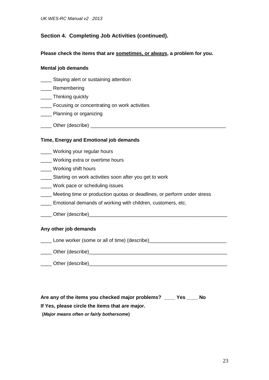# **Section 4. Completing Job Activities (continued).**

#### **Please check the items that are sometimes, or always, a problem for you.**

#### **Mental job demands**

- **LETT** Staying alert or sustaining attention
- \_\_\_\_ Remembering
- \_\_\_\_ Thinking quickly
- **EXECUSE FOCUSING OF CONCENTATING ON WORK ACTIVITIES**
- \_\_\_\_ Planning or organizing
- \_\_\_\_ Other (describe) \_\_\_\_\_\_\_\_\_\_\_\_\_\_\_\_\_\_\_\_\_\_\_\_\_\_\_\_\_\_\_\_\_\_\_\_\_\_\_\_\_\_\_\_\_\_\_\_\_

#### **Time, Energy and Emotional job demands**

- \_\_\_\_ Working your regular hours
- \_\_\_\_ Working extra or overtime hours
- \_\_\_\_ Working shift hours
- Starting on work activities soon after you get to work
- Work pace or scheduling issues
- \_\_\_\_ Meeting time or production quotas or deadlines, or perform under stress
- \_\_\_\_ Emotional demands of working with children, customers, etc.
- \_\_\_\_ Other (describe)\_\_\_\_\_\_\_\_\_\_\_\_\_\_\_\_\_\_\_\_\_\_\_\_\_\_\_\_\_\_\_\_\_\_\_\_\_\_\_\_\_\_\_\_\_\_\_\_\_\_

#### **Any other job demands**

\_\_\_\_ Lone worker (some or all of time) (describe)\_\_\_\_\_\_\_\_\_\_\_\_\_\_\_\_\_\_\_\_\_\_\_\_\_\_\_\_\_\_\_

- \_\_\_\_ Other (describe)\_\_\_\_\_\_\_\_\_\_\_\_\_\_\_\_\_\_\_\_\_\_\_\_\_\_\_\_\_\_\_\_\_\_\_\_\_\_\_\_\_\_\_\_\_\_\_\_\_\_
- \_\_\_\_ Other (describe)\_\_\_\_\_\_\_\_\_\_\_\_\_\_\_\_\_\_\_\_\_\_\_\_\_\_\_\_\_\_\_\_\_\_\_\_\_\_\_\_\_\_\_\_\_\_\_\_\_\_

**Are any of the items you checked major problems? \_\_\_\_ Yes \_\_\_\_ No If Yes, please circle the items that are major.**

**(***Major means often or fairly bothersome***)**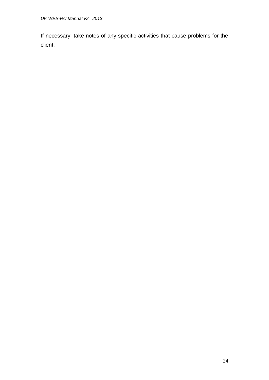If necessary, take notes of any specific activities that cause problems for the client.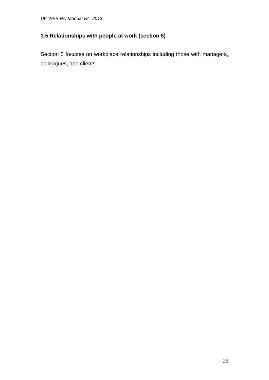# **3.5 Relationships with people at work (section 5)**

Section 5 focuses on workplace relationships including those with managers, colleagues, and clients.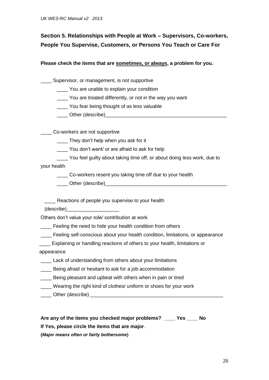# **Section 5. Relationships with People at Work – Supervisors, Co-workers, People You Supervise, Customers, or Persons You Teach or Care For**

### **Please check the items that are sometimes, or always, a problem for you.**

**Supervisor, or management, is not supportive** 

You are unable to explain your condition

\_\_\_\_ You are treated differently, or not in the way you want

You fear being thought of as less valuable

\_\_\_\_\_\_Other (describe)

\_\_\_\_ Co-workers are not supportive

\_\_\_\_ They don't help when you ask for it

\_\_\_\_ You don't want/ or are afraid to ask for help

You feel guilty about taking time off, or about doing less work, due to

your health

\_\_\_\_ Co-workers resent you taking time off due to your health

Other (describe)

Reactions of people you supervise to your health

(describe)\_\_\_\_\_\_\_\_\_\_\_\_\_\_\_\_\_\_\_

Others don't value your role/ contribution at work

Feeling the need to hide your health condition from others

Feeling self-conscious about your health condition, limitations, or appearance

**Explaining or handling reactions of others to your health, limitations or** 

appearance

- \_\_\_\_ Lack of understanding from others about your limitations
- \_\_\_\_ Being afraid or hesitant to ask for a job accommodation
- Being pleasant and upbeat with others when in pain or tired
- \_\_\_\_ Wearing the right kind of clothes/ uniform or shoes for your work
- Other (describe)  $\Box$

**Are any of the items you checked major problems? \_\_\_\_ Yes \_\_\_\_ No**

**If Yes, please circle the items that are major**.

**(***Major means often or fairly bothersome***)**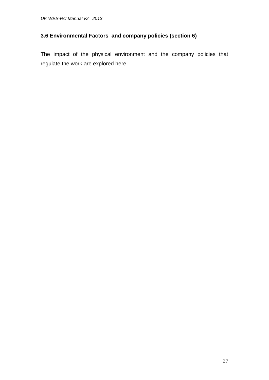# **3.6 Environmental Factors and company policies (section 6)**

The impact of the physical environment and the company policies that regulate the work are explored here.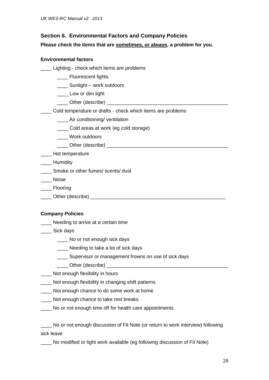# **Section 6. Environmental Factors and Company Policies**

**Please check the items that are sometimes, or always, a problem for you.**

### **Environmental factors**

- \_\_\_\_ Lighting check which items are problems
	- \_\_\_\_ Fluorescent lights
	- \_\_\_\_ Sunlight work outdoors
	- \_\_\_\_\_ Low or dim light
	- \_\_\_\_ Other (describe) \_\_\_\_\_\_\_\_\_\_\_\_\_\_\_\_\_\_\_\_\_\_\_\_\_\_\_\_\_\_\_\_\_\_\_\_\_\_\_\_\_\_\_\_
- \_\_\_\_ Cold temperature or drafts check which items are problems
	- **LETT** Air conditioning/ ventilation
	- \_\_\_\_ Cold areas at work (eg cold storage)
	- \_\_\_\_ Work outdoors
	- \_\_\_\_ Other (describe) \_\_\_\_\_\_\_\_\_\_\_\_\_\_\_\_\_\_\_\_\_\_\_\_\_\_\_\_\_\_\_\_\_\_\_\_\_\_\_\_\_\_\_\_
- \_\_\_\_ Hot temperature
- \_\_\_\_\_ Humidity
- Smoke or other fumes/ scents/ dust
- \_\_\_\_ Noise
- \_\_\_\_ Flooring
- \_\_\_\_ Other (describe) \_\_\_\_\_\_\_\_\_\_\_\_\_\_\_\_\_\_\_\_\_\_\_\_\_\_\_\_\_\_\_\_\_\_\_\_\_\_\_\_\_\_\_\_\_\_\_\_\_

#### **Company Policies**

\_\_\_\_ Needing to arrive at a certain time

\_\_\_\_ Sick days

- \_\_\_\_ No or not enough sick days
- Needing to take a lot of sick days
- \_\_\_\_ Supervisor or management frowns on use of sick days
- Other (describe)  $\Box$
- \_\_\_\_ Not enough flexibility in hours
- \_\_\_\_ Not enough flexibility in changing shift patterns
- \_\_\_\_ Not enough chance to do some work at home
- Not enough chance to take rest breaks
- \_\_\_\_ No or not enough time off for health care appointments

No or not enough discussion of Fit Note (or return to work interview) following sick leave

\_\_\_\_ No modified or light work available (eg following discussion of Fit Note)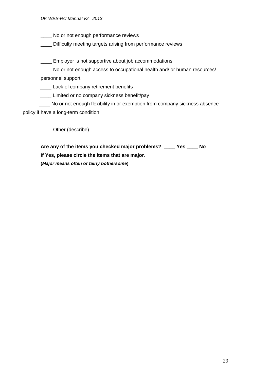\_\_\_\_ No or not enough performance reviews

\_\_\_\_ Difficulty meeting targets arising from performance reviews

**Employer is not supportive about job accommodations** 

\_\_\_\_ No or not enough access to occupational health and/ or human resources/

personnel support

**Lack of company retirement benefits** 

\_\_\_\_ Limited or no company sickness benefit/pay

\_\_\_\_ No or not enough flexibility in or exemption from company sickness absence

policy if have a long-term condition

\_\_\_\_ Other (describe) \_\_\_\_\_\_\_\_\_\_\_\_\_\_\_\_\_\_\_\_\_\_\_\_\_\_\_\_\_\_\_\_\_\_\_\_\_\_\_\_\_\_\_\_\_\_\_\_\_

**Are any of the items you checked major problems? \_\_\_\_ Yes \_\_\_\_ No**

**If Yes, please circle the items that are major**.

**(***Major means often or fairly bothersome***)**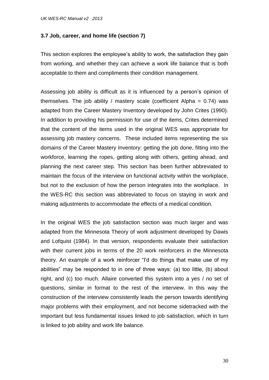# **3.7 Job, career, and home life (section 7)**

This section explores the employee's ability to work, the satisfaction they gain from working, and whether they can achieve a work life balance that is both acceptable to them and compliments their condition management.

Assessing job ability is difficult as it is influenced by a person's opinion of themselves. The job ability / mastery scale (coefficient Alpha =  $0.74$ ) was adapted from the Career Mastery Inventory developed by John Crites (1990). In addition to providing his permission for use of the items, Crites determined that the content of the items used in the original WES was appropriate for assessing job mastery concerns. These included items representing the six domains of the Career Mastery Inventory: getting the job done, fitting into the workforce, learning the ropes, getting along with others, getting ahead, and planning the next career step. This section has been further abbreviated to maintain the focus of the interview on functional activity within the workplace, but not to the exclusion of how the person integrates into the workplace. In the WES-RC this section was abbreviated to focus on staying in work and making adjustments to accommodate the effects of a medical condition.

In the original WES the job satisfaction section was much larger and was adapted from the Minnesota Theory of work adjustment developed by Dawis and Lofquist (1984). In that version, respondents evaluate their satisfaction with their current jobs in terms of the 20 work reinforcers in the Minnesota theory. An example of a work reinforcer "I'd do things that make use of my abilities" may be responded to in one of three ways: (a) too little, (b) about right, and (c) too much. Allaire converted this system into a yes / no set of questions, similar in format to the rest of the interview. In this way the construction of the interview consistently leads the person towards identifying major problems with their employment, and not become sidetracked with the important but less fundamental issues linked to job satisfaction, which in turn is linked to job ability and work life balance*.*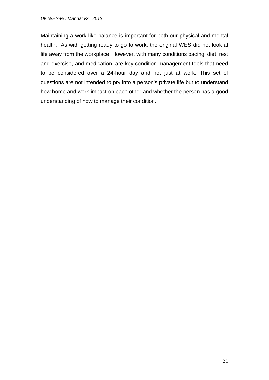*UK WES-RC Manual v2 2013*

Maintaining a work like balance is important for both our physical and mental health. As with getting ready to go to work, the original WES did not look at life away from the workplace. However, with many conditions pacing, diet, rest and exercise, and medication, are key condition management tools that need to be considered over a 24-hour day and not just at work. This set of questions are not intended to pry into a person's private life but to understand how home and work impact on each other and whether the person has a good understanding of how to manage their condition.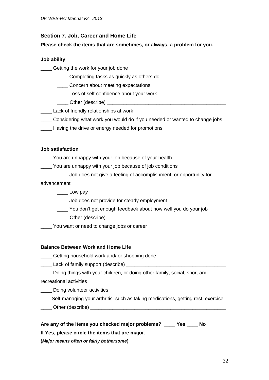# **Section 7. Job, Career and Home Life**

### **Please check the items that are sometimes, or always, a problem for you.**

#### **Job ability**

- **EXECUTE:** Getting the work for your job done
	- \_\_\_\_ Completing tasks as quickly as others do
	- \_\_\_\_ Concern about meeting expectations
	- \_\_\_\_ Loss of self-confidence about your work
	- \_\_\_\_ Other (describe) \_\_\_\_\_\_\_\_\_\_\_\_\_\_\_\_\_\_\_\_\_\_\_\_\_\_\_\_\_\_\_\_\_\_\_\_\_\_\_\_\_\_\_
- **Lack of friendly relationships at work**
- \_\_\_\_ Considering what work you would do if you needed or wanted to change jobs
- Having the drive or energy needed for promotions

#### **Job satisfaction**

- You are unhappy with your job because of your health
- You are unhappy with your job because of job conditions
	- \_\_\_\_ Job does not give a feeling of accomplishment, or opportunity for
- advancement
	- \_\_\_\_ Low pay
	- \_\_\_\_ Job does not provide for steady employment
	- \_\_\_\_ You don't get enough feedback about how well you do your job
	- Other (describe)
- You want or need to change jobs or career

#### **Balance Between Work and Home Life**

- **\_\_\_\_\_** Getting household work and/ or shopping done
- Lack of family support (describe)
- \_\_\_\_ Doing things with your children, or doing other family, social, sport and
- recreational activities
- \_\_\_\_ Doing volunteer activities
- Self-managing your arthritis, such as taking medications, getting rest, exercise Other (describe)  $\Box$

**Are any of the items you checked major problems? \_\_\_\_ Yes \_\_\_\_ No**

**If Yes, please circle the items that are major.** 

**(***Major means often or fairly bothersome***)**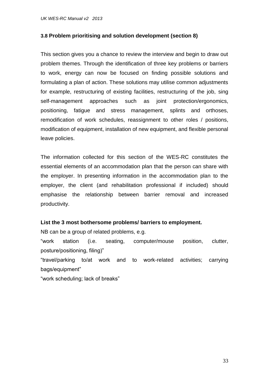# **3.8 Problem prioritising and solution development (section 8)**

This section gives you a chance to review the interview and begin to draw out problem themes. Through the identification of three key problems or barriers to work, energy can now be focused on finding possible solutions and formulating a plan of action. These solutions may utilise common adjustments for example, restructuring of existing facilities, restructuring of the job, sing self-management approaches such as joint protection/ergonomics, positioning, fatigue and stress management, splints and orthoses, remodification of work schedules, reassignment to other roles / positions, modification of equipment, installation of new equipment, and flexible personal leave policies.

The information collected for this section of the WES-RC constitutes the essential elements of an accommodation plan that the person can share with the employer. In presenting information in the accommodation plan to the employer, the client (and rehabilitation professional if included) should emphasise the relationship between barrier removal and increased productivity.

# **List the 3 most bothersome problems/ barriers to employment.**

NB can be a group of related problems, e.g.

"work station (i.e. seating, computer/mouse position, clutter, posture/positioning, filing)"

"travel/parking to/at work and to work-related activities; carrying bags/equipment"

"work scheduling; lack of breaks"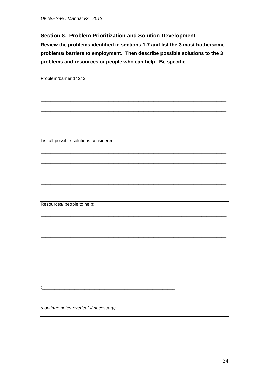Section 8. Problem Prioritization and Solution Development Review the problems identified in sections 1-7 and list the 3 most bothersome problems/ barriers to employment. Then describe possible solutions to the 3 problems and resources or people who can help. Be specific.

Problem/barrier 1/2/3:

List all possible solutions considered:

Resources/ people to help:

(continue notes overleaf if necessary)

÷.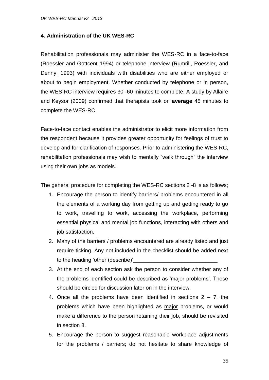# **4. Administration of the UK WES-RC**

Rehabilitation professionals may administer the WES-RC in a face-to-face (Roessler and Gottcent 1994) or telephone interview (Rumrill, Roessler, and Denny, 1993) with individuals with disabilities who are either employed or about to begin employment. Whether conducted by telephone or in person, the WES-RC interview requires 30 -60 minutes to complete. A study by Allaire and Keysor (2009) confirmed that therapists took on **average** 45 minutes to complete the WES-RC.

Face-to-face contact enables the administrator to elicit more information from the respondent because it provides greater opportunity for feelings of trust to develop and for clarification of responses. Prior to administering the WES-RC, rehabilitation professionals may wish to mentally "walk through" the interview using their own jobs as models.

The general procedure for completing the WES-RC sections 2 -8 is as follows;

- 1. Encourage the person to identify barriers/ problems encountered in all the elements of a working day from getting up and getting ready to go to work, travelling to work, accessing the workplace, performing essential physical and mental job functions, interacting with others and job satisfaction.
- 2. Many of the barriers / problems encountered are already listed and just require ticking. Any not included in the checklist should be added next to the heading 'other (describe)'
- 3. At the end of each section ask the person to consider whether any of the problems identified could be described as 'major problems'. These should be circled for discussion later on in the interview.
- 4. Once all the problems have been identified in sections  $2 7$ , the problems which have been highlighted as major problems, or would make a difference to the person retaining their job, should be revisited in section 8.
- 5. Encourage the person to suggest reasonable workplace adjustments for the problems / barriers; do not hesitate to share knowledge of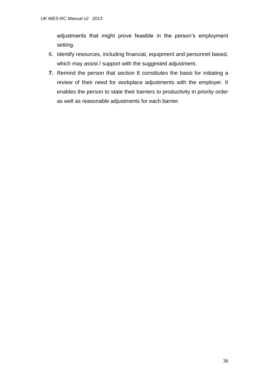adjustments that might prove feasible in the person's employment setting.

- 6. Identify resources, including financial, equipment and personnel based, which may assist / support with the suggested adjustment.
- **7.** Remind the person that section 8 constitutes the basis for initiating a review of their need for workplace adjustments with the employer. It enables the person to state their barriers to productivity in priority order as well as reasonable adjustments for each barrier.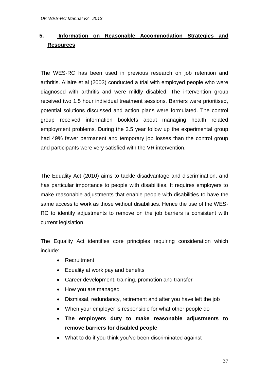# **5. Information on Reasonable Accommodation Strategies and Resources**

The WES-RC has been used in previous research on job retention and arthritis. Allaire et al (2003) conducted a trial with employed people who were diagnosed with arthritis and were mildly disabled. The intervention group received two 1.5 hour individual treatment sessions. Barriers were prioritised, potential solutions discussed and action plans were formulated. The control group received information booklets about managing health related employment problems. During the 3.5 year follow up the experimental group had 49% fewer permanent and temporary job losses than the control group and participants were very satisfied with the VR intervention.

The Equality Act (2010) aims to tackle disadvantage and discrimination, and has particular importance to people with disabilities. It requires employers to make reasonable adjustments that enable people with disabilities to have the same access to work as those without disabilities. Hence the use of the WES-RC to identify adjustments to remove on the job barriers is consistent with current legislation.

The Equality Act identifies core principles requiring consideration which include:

- Recruitment
- Equality at work pay and benefits
- Career development, training, promotion and transfer
- How you are managed
- Dismissal, redundancy, retirement and after you have left the job
- When your employer is responsible for what other people do
- **The employers duty to make reasonable adjustments to remove barriers for disabled people**
- What to do if you think you've been discriminated against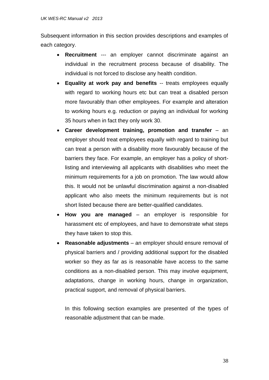Subsequent information in this section provides descriptions and examples of each category.

- **Recruitment** --- an employer cannot discriminate against an individual in the recruitment process because of disability. The individual is not forced to disclose any health condition.
- **Equality at work pay and benefits** -- treats employees equally with regard to working hours etc but can treat a disabled person more favourably than other employees. For example and alteration to working hours e.g. reduction or paying an individual for working 35 hours when in fact they only work 30.
- **Career development training, promotion and transfer** an employer should treat employees equally with regard to training but can treat a person with a disability more favourably because of the barriers they face. For example, an employer has a policy of shortlisting and interviewing all applicants with disabilities who meet the minimum requirements for a job on promotion. The law would allow this. It would not be unlawful discrimination against a non-disabled applicant who also meets the minimum requirements but is not short listed because there are better-qualified candidates.
- **How you are managed** an employer is responsible for harassment etc of employees, and have to demonstrate what steps they have taken to stop this.
- **Reasonable adjustments** an employer should ensure removal of physical barriers and / providing additional support for the disabled worker so they as far as is reasonable have access to the same conditions as a non-disabled person. This may involve equipment, adaptations, change in working hours, change in organization, practical support, and removal of physical barriers.

In this following section examples are presented of the types of reasonable adjustment that can be made.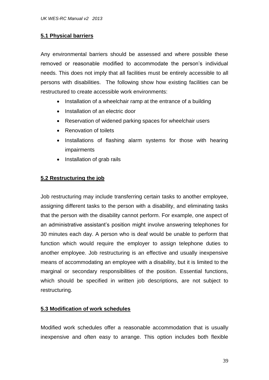# **5.1 Physical barriers**

Any environmental barriers should be assessed and where possible these removed or reasonable modified to accommodate the person's individual needs. This does not imply that all facilities must be entirely accessible to all persons with disabilities. The following show how existing facilities can be restructured to create accessible work environments:

- Installation of a wheelchair ramp at the entrance of a building
- Installation of an electric door
- Reservation of widened parking spaces for wheelchair users
- Renovation of toilets
- Installations of flashing alarm systems for those with hearing impairments
- Installation of grab rails

# **5.2 Restructuring the job**

Job restructuring may include transferring certain tasks to another employee, assigning different tasks to the person with a disability, and eliminating tasks that the person with the disability cannot perform. For example, one aspect of an administrative assistant's position might involve answering telephones for 30 minutes each day. A person who is deaf would be unable to perform that function which would require the employer to assign telephone duties to another employee. Job restructuring is an effective and usually inexpensive means of accommodating an employee with a disability, but it is limited to the marginal or secondary responsibilities of the position. Essential functions, which should be specified in written job descriptions, are not subject to restructuring.

# **5.3 Modification of work schedules**

Modified work schedules offer a reasonable accommodation that is usually inexpensive and often easy to arrange. This option includes both flexible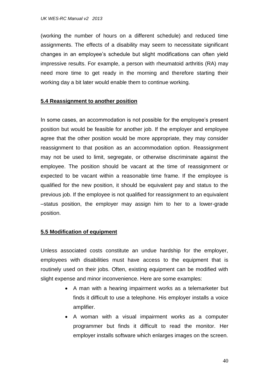(working the number of hours on a different schedule) and reduced time assignments. The effects of a disability may seem to necessitate significant changes in an employee's schedule but slight modifications can often yield impressive results. For example, a person with rheumatoid arthritis (RA) may need more time to get ready in the morning and therefore starting their working day a bit later would enable them to continue working.

# **5.4 Reassignment to another position**

In some cases, an accommodation is not possible for the employee's present position but would be feasible for another job. If the employer and employee agree that the other position would be more appropriate, they may consider reassignment to that position as an accommodation option. Reassignment may not be used to limit, segregate, or otherwise discriminate against the employee. The position should be vacant at the time of reassignment or expected to be vacant within a reasonable time frame. If the employee is qualified for the new position, it should be equivalent pay and status to the previous job. If the employee is not qualified for reassignment to an equivalent –status position, the employer may assign him to her to a lower-grade position.

# **5.5 Modification of equipment**

Unless associated costs constitute an undue hardship for the employer, employees with disabilities must have access to the equipment that is routinely used on their jobs. Often, existing equipment can be modified with slight expense and minor inconvenience. Here are some examples:

- A man with a hearing impairment works as a telemarketer but finds it difficult to use a telephone. His employer installs a voice amplifier.
- A woman with a visual impairment works as a computer programmer but finds it difficult to read the monitor. Her employer installs software which enlarges images on the screen.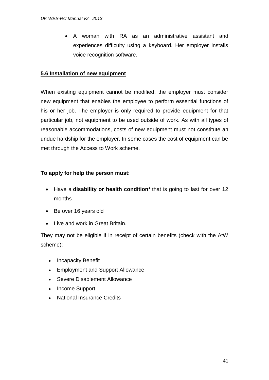A woman with RA as an administrative assistant and experiences difficulty using a keyboard. Her employer installs voice recognition software.

# **5.6 Installation of new equipment**

When existing equipment cannot be modified, the employer must consider new equipment that enables the employee to perform essential functions of his or her job. The employer is only required to provide equipment for that particular job, not equipment to be used outside of work. As with all types of reasonable accommodations, costs of new equipment must not constitute an undue hardship for the employer. In some cases the cost of equipment can be met through the Access to Work scheme.

# **To apply for help the person must:**

- Have a **disability or health condition\*** that is going to last for over 12 months
- Be over 16 years old
- Live and work in Great Britain.

They may not be eligible if in receipt of certain benefits (check with the AtW scheme):

- Incapacity Benefit
- Employment and Support Allowance
- Severe Disablement Allowance
- Income Support
- National Insurance Credits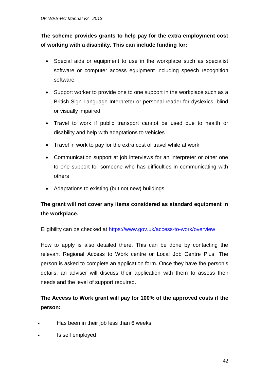# **The scheme provides grants to help pay for the extra employment cost of working with a disability. This can include funding for:**

- Special aids or equipment to use in the workplace such as specialist software or computer access equipment including speech recognition software
- Support worker to provide one to one support in the workplace such as a British Sign Language Interpreter or personal reader for dyslexics, blind or visually impaired
- Travel to work if public transport cannot be used due to health or disability and help with adaptations to vehicles
- Travel in work to pay for the extra cost of travel while at work
- Communication support at job interviews for an interpreter or other one to one support for someone who has difficulties in communicating with others
- Adaptations to existing (but not new) buildings

# **The grant will not cover any items considered as standard equipment in the workplace.**

Eligibility can be checked at<https://www.gov.uk/access-to-work/overview>

How to apply is also detailed there. This can be done by contacting the relevant Regional Access to Work centre or Local Job Centre Plus. The person is asked to complete an application form. Once they have the person's details, an adviser will discuss their application with them to assess their needs and the level of support required.

# **The Access to Work grant will pay for 100% of the approved costs if the person:**

- Has been in their job less than 6 weeks
- Is self employed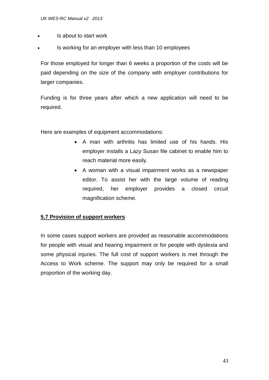- Is about to start work
- Is working for an employer with less than 10 employees

For those employed for longer than 6 weeks a proportion of the costs will be paid depending on the size of the company with employer contributions for larger companies.

Funding is for three years after which a new application will need to be required.

Here are examples of equipment accommodations:

- A man with arthritis has limited use of his hands. His employer installs a Lazy Susan file cabinet to enable him to reach material more easily.
- A woman with a visual impairment works as a newspaper editor. To assist her with the large volume of reading required, her employer provides a closed circuit magnification scheme.

# **5.7 Provision of support workers**

In some cases support workers are provided as reasonable accommodations for people with visual and hearing impairment or for people with dyslexia and some physical injuries. The full cost of support workers is met through the Access to Work scheme. The support may only be required for a small proportion of the working day.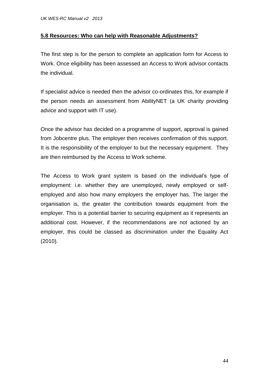# **5.8 Resources: Who can help with Reasonable Adjustments?**

The first step is for the person to complete an application form for Access to Work. Once eligibility has been assessed an Access to Work advisor contacts the individual.

If specialist advice is needed then the advisor co-ordinates this, for example if the person needs an assessment from AbilityNET (a UK charity providing advice and support with IT use).

Once the advisor has decided on a programme of support, approval is gained from Jobcentre plus. The employer then receives confirmation of this support. It is the responsibility of the employer to but the necessary equipment. They are then reimbursed by the Access to Work scheme.

The Access to Work grant system is based on the individual's type of employment: i.e. whether they are unemployed, newly employed or selfemployed and also how many employers the employer has. The larger the organisation is, the greater the contribution towards equipment from the employer. This is a potential barrier to securing equipment as it represents an additional cost. However, if the recommendations are not actioned by an employer, this could be classed as discrimination under the Equality Act (2010).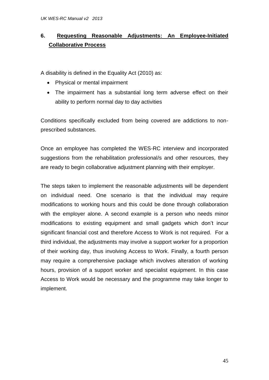# **6. Requesting Reasonable Adjustments: An Employee-Initiated Collaborative Process**

A disability is defined in the Equality Act (2010) as:

- Physical or mental impairment
- The impairment has a substantial long term adverse effect on their ability to perform normal day to day activities

Conditions specifically excluded from being covered are addictions to nonprescribed substances.

Once an employee has completed the WES-RC interview and incorporated suggestions from the rehabilitation professional/s and other resources, they are ready to begin collaborative adjustment planning with their employer.

The steps taken to implement the reasonable adjustments will be dependent on individual need. One scenario is that the individual may require modifications to working hours and this could be done through collaboration with the employer alone. A second example is a person who needs minor modifications to existing equipment and small gadgets which don't incur significant financial cost and therefore Access to Work is not required. For a third individual, the adjustments may involve a support worker for a proportion of their working day, thus involving Access to Work. Finally, a fourth person may require a comprehensive package which involves alteration of working hours, provision of a support worker and specialist equipment. In this case Access to Work would be necessary and the programme may take longer to implement.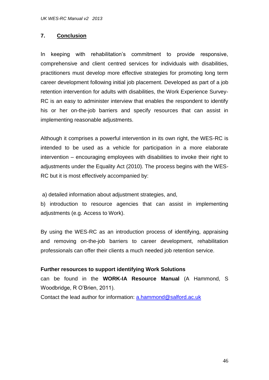# **7. Conclusion**

In keeping with rehabilitation's commitment to provide responsive, comprehensive and client centred services for individuals with disabilities, practitioners must develop more effective strategies for promoting long term career development following initial job placement. Developed as part of a job retention intervention for adults with disabilities, the Work Experience Survey-RC is an easy to administer interview that enables the respondent to identify his or her on-the-job barriers and specify resources that can assist in implementing reasonable adjustments.

Although it comprises a powerful intervention in its own right, the WES-RC is intended to be used as a vehicle for participation in a more elaborate intervention – encouraging employees with disabilities to invoke their right to adjustments under the Equality Act (2010). The process begins with the WES-RC but it is most effectively accompanied by:

a) detailed information about adjustment strategies, and,

b) introduction to resource agencies that can assist in implementing adjustments (e.g. Access to Work).

By using the WES-RC as an introduction process of identifying, appraising and removing on-the-job barriers to career development, rehabilitation professionals can offer their clients a much needed job retention service.

#### **Further resources to support identifying Work Solutions**

can be found in the **WORK-IA Resource Manual** (A Hammond, S Woodbridge, R O'Brien, 2011).

Contact the lead author for information: [a.hammond@salford.ac.uk](mailto:a.hammond@salford.ac.uk)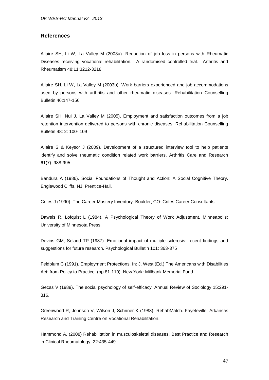#### **References**

Allaire SH, Li W, La Valley M (2003a). Reduction of job loss in persons with Rheumatic Diseases receiving vocational rehabilitation. A randomised controlled trial. Arthritis and Rheumatism 48:11:3212-3218

Allaire SH, Li W, La Valley M (2003b). Work barriers experienced and job accommodations used by persons with arthritis and other rheumatic diseases. Rehabilitation Counselling Bulletin 46:147-156

Allaire SH, Nui J, La Valley M (2005). Employment and satisfaction outcomes from a job retention intervention delivered to persons with chronic diseases. Rehabilitation Counselling Bulletin 48: 2: 100- 109

Allaire S & Keysor J (2009). Development of a structured interview tool to help patients identify and solve rheumatic condition related work barriers. Arthritis Care and Research 61(7): 988-995.

Bandura A (1986). Social Foundations of Thought and Action: A Social Cognitive Theory. Englewood Cliffs, NJ: Prentice-Hall.

Crites J (1990). The Career Mastery Inventory. Boulder, CO: Crites Career Consultants.

Daweis R, Lofquist L (1984). A Psychological Theory of Work Adjustment. Minneapolis: University of Minnesota Press.

Devins GM, Seland TP (1987). Emotional impact of multiple sclerosis: recent findings and suggestions for future research. Psychological Bulletin 101: 363-375

Feldblum C (1991). Employment Protections. In: J. West (Ed.) The Americans with Disabilities Act: from Policy to Practice. (pp 81-110). New York: Millbank Memorial Fund.

Gecas V (1989). The social psychology of self-efficacy. Annual Review of Sociology 15:291- 316.

Greenwood R, Johnson V, Wilson J, Schriner K (1988). RehabMatch. Fayeteville: Arkansas Research and Training Centre on Vocational Rehabilitation.

Hammond A. (2008) Rehabilitation in musculoskeletal diseases. Best Practice and Research in Clinical Rheumatology 22:435-449